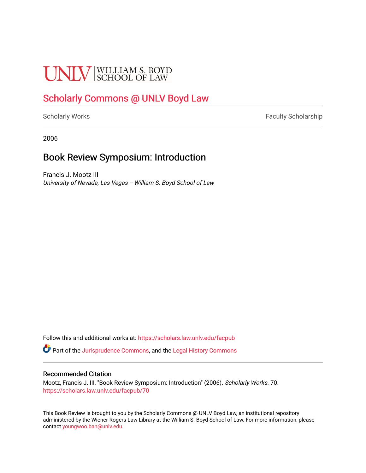# **UNLV** SCHOOL OF LAW

# [Scholarly Commons @ UNLV Boyd Law](https://scholars.law.unlv.edu/)

[Scholarly Works](https://scholars.law.unlv.edu/facpub) **Faculty Scholarship** Faculty Scholarship

2006

### Book Review Symposium: Introduction

Francis J. Mootz III University of Nevada, Las Vegas -- William S. Boyd School of Law

Follow this and additional works at: [https://scholars.law.unlv.edu/facpub](https://scholars.law.unlv.edu/facpub?utm_source=scholars.law.unlv.edu%2Ffacpub%2F70&utm_medium=PDF&utm_campaign=PDFCoverPages)

Part of the [Jurisprudence Commons](http://network.bepress.com/hgg/discipline/610?utm_source=scholars.law.unlv.edu%2Ffacpub%2F70&utm_medium=PDF&utm_campaign=PDFCoverPages), and the [Legal History Commons](http://network.bepress.com/hgg/discipline/904?utm_source=scholars.law.unlv.edu%2Ffacpub%2F70&utm_medium=PDF&utm_campaign=PDFCoverPages)

#### Recommended Citation

Mootz, Francis J. III, "Book Review Symposium: Introduction" (2006). Scholarly Works. 70. [https://scholars.law.unlv.edu/facpub/70](https://scholars.law.unlv.edu/facpub/70?utm_source=scholars.law.unlv.edu%2Ffacpub%2F70&utm_medium=PDF&utm_campaign=PDFCoverPages) 

This Book Review is brought to you by the Scholarly Commons @ UNLV Boyd Law, an institutional repository administered by the Wiener-Rogers Law Library at the William S. Boyd School of Law. For more information, please contact [youngwoo.ban@unlv.edu](mailto:youngwoo.ban@unlv.edu).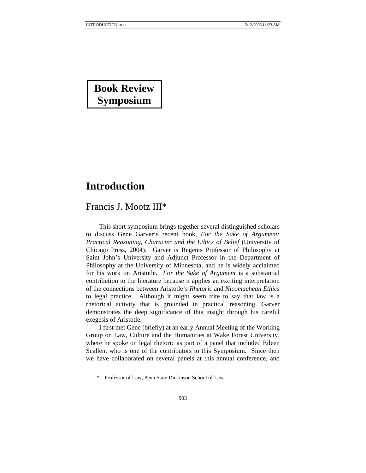# **Book Review Symposium**

## **Introduction**

 $\overline{a}$ 

Francis J. Mootz III\*

This short symposium brings together several distinguished scholars to discuss Gene Garver's recent book, *For the Sake of Argument: Practical Reasoning, Character and the Ethics of Belief* (University of Chicago Press, 2004). Garver is Regents Professor of Philosophy at Saint John's University and Adjunct Professor in the Department of Philosophy at the University of Minnesota, and he is widely acclaimed for his work on Aristotle. *For the Sake of Argument* is a substantial contribution to the literature because it applies an exciting interpretation of the connections between Aristotle's *Rhetoric* and *Nicomachean Ethics* to legal practice. Although it might seem trite to say that law is a rhetorical activity that is grounded in practical reasoning, Garver demonstrates the deep significance of this insight through his careful exegesis of Aristotle.

I first met Gene (briefly) at an early Annual Meeting of the Working Group on Law, Culture and the Humanities at Wake Forest University, where he spoke on legal rhetoric as part of a panel that included Eileen Scallen, who is one of the contributors to this Symposium. Since then we have collaborated on several panels at this annual conference, and

 <sup>\*</sup> Professor of Law, Penn State Dickinson School of Law.